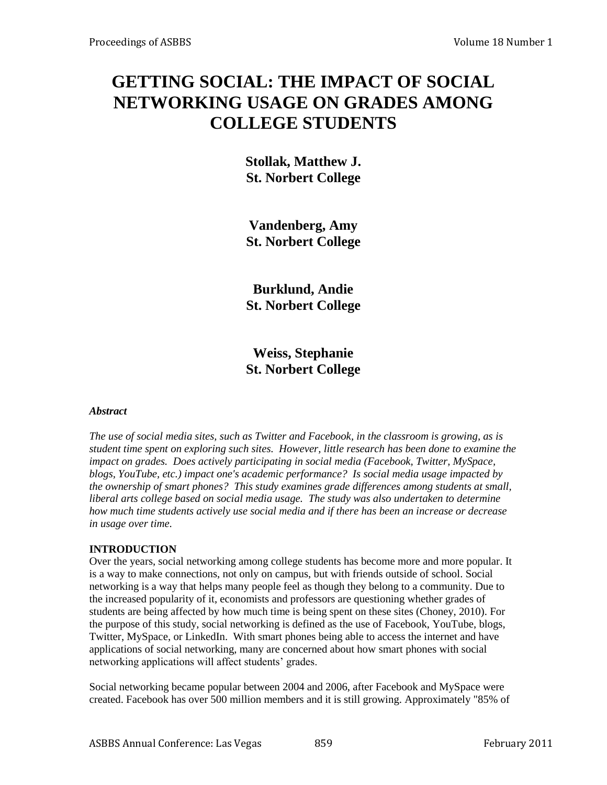# **GETTING SOCIAL: THE IMPACT OF SOCIAL NETWORKING USAGE ON GRADES AMONG COLLEGE STUDENTS**

**Stollak, Matthew J. St. Norbert College**

**Vandenberg, Amy St. Norbert College**

**Burklund, Andie St. Norbert College**

**Weiss, Stephanie St. Norbert College** 

### *Abstract*

*The use of social media sites, such as Twitter and Facebook, in the classroom is growing, as is student time spent on exploring such sites. However, little research has been done to examine the impact on grades. Does actively participating in social media (Facebook, Twitter, MySpace, blogs, YouTube, etc.) impact one's academic performance? Is social media usage impacted by the ownership of smart phones? This study examines grade differences among students at small, liberal arts college based on social media usage. The study was also undertaken to determine how much time students actively use social media and if there has been an increase or decrease in usage over time.* 

### **INTRODUCTION**

Over the years, social networking among college students has become more and more popular. It is a way to make connections, not only on campus, but with friends outside of school. Social networking is a way that helps many people feel as though they belong to a community. Due to the increased popularity of it, economists and professors are questioning whether grades of students are being affected by how much time is being spent on these sites (Choney, 2010). For the purpose of this study, social networking is defined as the use of Facebook, YouTube, blogs, Twitter, MySpace, or LinkedIn. With smart phones being able to access the internet and have applications of social networking, many are concerned about how smart phones with social networking applications will affect students' grades.

Social networking became popular between 2004 and 2006, after Facebook and MySpace were created. Facebook has over 500 million members and it is still growing. Approximately "85% of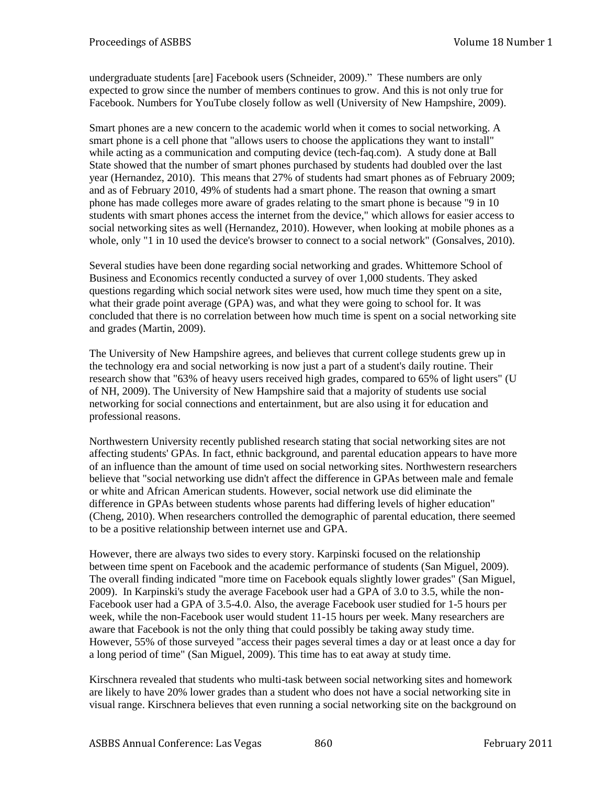undergraduate students [are] Facebook users (Schneider, 2009)." These numbers are only expected to grow since the number of members continues to grow. And this is not only true for Facebook. Numbers for YouTube closely follow as well (University of New Hampshire, 2009).

Smart phones are a new concern to the academic world when it comes to social networking. A smart phone is a cell phone that "allows users to choose the applications they want to install" while acting as a communication and computing device (tech-faq.com). A study done at Ball State showed that the number of smart phones purchased by students had doubled over the last year (Hernandez, 2010). This means that 27% of students had smart phones as of February 2009; and as of February 2010, 49% of students had a smart phone. The reason that owning a smart phone has made colleges more aware of grades relating to the smart phone is because "9 in 10 students with smart phones access the internet from the device," which allows for easier access to social networking sites as well (Hernandez, 2010). However, when looking at mobile phones as a whole, only "1 in 10 used the device's browser to connect to a social network" (Gonsalves, 2010).

Several studies have been done regarding social networking and grades. Whittemore School of Business and Economics recently conducted a survey of over 1,000 students. They asked questions regarding which social network sites were used, how much time they spent on a site, what their grade point average (GPA) was, and what they were going to school for. It was concluded that there is no correlation between how much time is spent on a social networking site and grades (Martin, 2009).

The University of New Hampshire agrees, and believes that current college students grew up in the technology era and social networking is now just a part of a student's daily routine. Their research show that "63% of heavy users received high grades, compared to 65% of light users" (U of NH, 2009). The University of New Hampshire said that a majority of students use social networking for social connections and entertainment, but are also using it for education and professional reasons.

Northwestern University recently published research stating that social networking sites are not affecting students' GPAs. In fact, ethnic background, and parental education appears to have more of an influence than the amount of time used on social networking sites. Northwestern researchers believe that "social networking use didn't affect the difference in GPAs between male and female or white and African American students. However, social network use did eliminate the difference in GPAs between students whose parents had differing levels of higher education" (Cheng, 2010). When researchers controlled the demographic of parental education, there seemed to be a positive relationship between internet use and GPA.

However, there are always two sides to every story. Karpinski focused on the relationship between time spent on Facebook and the academic performance of students (San Miguel, 2009). The overall finding indicated "more time on Facebook equals slightly lower grades" (San Miguel, 2009). In Karpinski's study the average Facebook user had a GPA of 3.0 to 3.5, while the non-Facebook user had a GPA of 3.5-4.0. Also, the average Facebook user studied for 1-5 hours per week, while the non-Facebook user would student 11-15 hours per week. Many researchers are aware that Facebook is not the only thing that could possibly be taking away study time. However, 55% of those surveyed "access their pages several times a day or at least once a day for a long period of time" (San Miguel, 2009). This time has to eat away at study time.

Kirschnera revealed that students who multi-task between social networking sites and homework are likely to have 20% lower grades than a student who does not have a social networking site in visual range. Kirschnera believes that even running a social networking site on the background on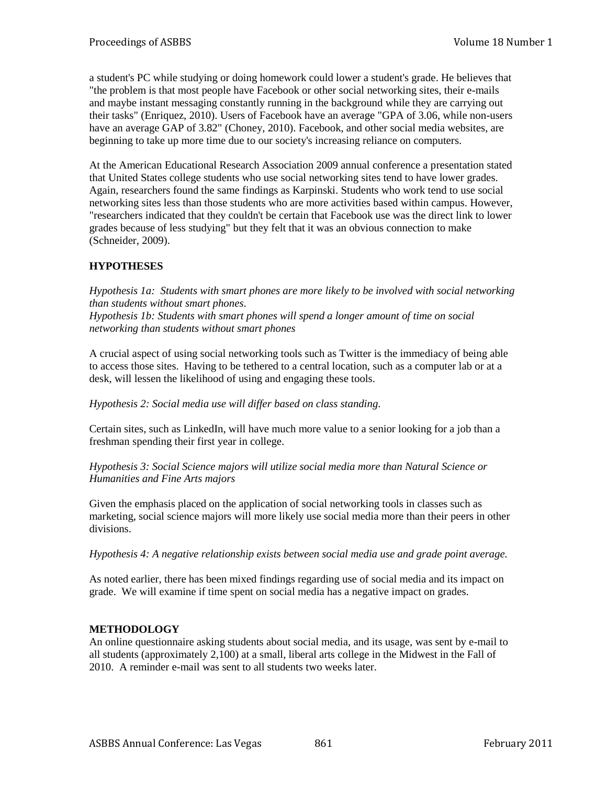a student's PC while studying or doing homework could lower a student's grade. He believes that "the problem is that most people have Facebook or other social networking sites, their e-mails and maybe instant messaging constantly running in the background while they are carrying out their tasks" (Enriquez, 2010). Users of Facebook have an average "GPA of 3.06, while non-users have an average GAP of 3.82" (Choney, 2010). Facebook, and other social media websites, are beginning to take up more time due to our society's increasing reliance on computers.

At the American Educational Research Association 2009 annual conference a presentation stated that United States college students who use social networking sites tend to have lower grades. Again, researchers found the same findings as Karpinski. Students who work tend to use social networking sites less than those students who are more activities based within campus. However, "researchers indicated that they couldn't be certain that Facebook use was the direct link to lower grades because of less studying" but they felt that it was an obvious connection to make (Schneider, 2009).

# **HYPOTHESES**

*Hypothesis 1a: Students with smart phones are more likely to be involved with social networking than students without smart phones. Hypothesis 1b: Students with smart phones will spend a longer amount of time on social networking than students without smart phones*

A crucial aspect of using social networking tools such as Twitter is the immediacy of being able to access those sites. Having to be tethered to a central location, such as a computer lab or at a desk, will lessen the likelihood of using and engaging these tools.

## *Hypothesis 2: Social media use will differ based on class standing.*

Certain sites, such as LinkedIn, will have much more value to a senior looking for a job than a freshman spending their first year in college.

## *Hypothesis 3: Social Science majors will utilize social media more than Natural Science or Humanities and Fine Arts majors*

Given the emphasis placed on the application of social networking tools in classes such as marketing, social science majors will more likely use social media more than their peers in other divisions.

*Hypothesis 4: A negative relationship exists between social media use and grade point average.*

As noted earlier, there has been mixed findings regarding use of social media and its impact on grade. We will examine if time spent on social media has a negative impact on grades.

# **METHODOLOGY**

An online questionnaire asking students about social media, and its usage, was sent by e-mail to all students (approximately 2,100) at a small, liberal arts college in the Midwest in the Fall of 2010. A reminder e-mail was sent to all students two weeks later.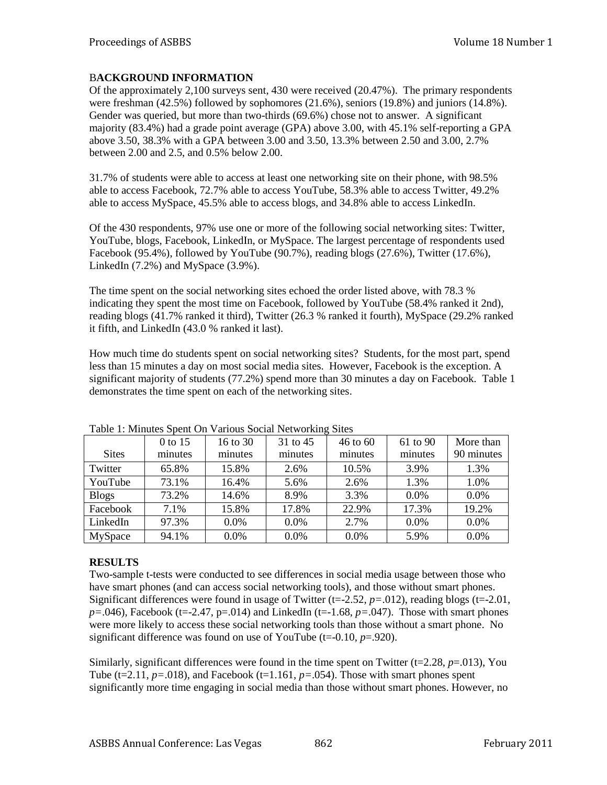# B**ACKGROUND INFORMATION**

Of the approximately 2,100 surveys sent, 430 were received (20.47%). The primary respondents were freshman (42.5%) followed by sophomores (21.6%), seniors (19.8%) and juniors (14.8%). Gender was queried, but more than two-thirds (69.6%) chose not to answer. A significant majority (83.4%) had a grade point average (GPA) above 3.00, with 45.1% self-reporting a GPA above 3.50, 38.3% with a GPA between 3.00 and 3.50, 13.3% between 2.50 and 3.00, 2.7% between 2.00 and 2.5, and 0.5% below 2.00.

31.7% of students were able to access at least one networking site on their phone, with 98.5% able to access Facebook, 72.7% able to access YouTube, 58.3% able to access Twitter, 49.2% able to access MySpace, 45.5% able to access blogs, and 34.8% able to access LinkedIn.

Of the 430 respondents, 97% use one or more of the following social networking sites: Twitter, YouTube, blogs, Facebook, LinkedIn, or MySpace. The largest percentage of respondents used Facebook (95.4%), followed by YouTube (90.7%), reading blogs (27.6%), Twitter (17.6%), LinkedIn (7.2%) and MySpace (3.9%).

The time spent on the social networking sites echoed the order listed above, with 78.3 % indicating they spent the most time on Facebook, followed by YouTube (58.4% ranked it 2nd), reading blogs (41.7% ranked it third), Twitter (26.3 % ranked it fourth), MySpace (29.2% ranked it fifth, and LinkedIn (43.0 % ranked it last).

How much time do students spent on social networking sites? Students, for the most part, spend less than 15 minutes a day on most social media sites. However, Facebook is the exception. A significant majority of students (77.2%) spend more than 30 minutes a day on Facebook. Table 1 demonstrates the time spent on each of the networking sites.

| Twore It millioned present on Third to be center of thing priced |           |          |          |              |          |            |
|------------------------------------------------------------------|-----------|----------|----------|--------------|----------|------------|
|                                                                  | $0$ to 15 | 16 to 30 | 31 to 45 | $46$ to $60$ | 61 to 90 | More than  |
| <b>Sites</b>                                                     | minutes   | minutes  | minutes  | minutes      | minutes  | 90 minutes |
| Twitter                                                          | 65.8%     | 15.8%    | 2.6%     | 10.5%        | 3.9%     | 1.3%       |
| YouTube                                                          | 73.1%     | 16.4%    | 5.6%     | 2.6%         | 1.3%     | 1.0%       |
| <b>Blogs</b>                                                     | 73.2%     | 14.6%    | 8.9%     | 3.3%         | $0.0\%$  | 0.0%       |
| Facebook                                                         | 7.1%      | 15.8%    | 17.8%    | 22.9%        | 17.3%    | 19.2%      |
| LinkedIn                                                         | 97.3%     | 0.0%     | $0.0\%$  | 2.7%         | $0.0\%$  | 0.0%       |
| MySpace                                                          | 94.1%     | 0.0%     | $0.0\%$  | 0.0%         | 5.9%     | 0.0%       |

Table 1: Minutes Spent On Various Social Networking Sites

## **RESULTS**

Two-sample t-tests were conducted to see differences in social media usage between those who have smart phones (and can access social networking tools), and those without smart phones. Significant differences were found in usage of Twitter (t=-2.52, *p=*.012), reading blogs (t=-2.01,  $p = 0.046$ ), Facebook (t= $-2.47$ , p= $0.014$ ) and LinkedIn (t= $-1.68$ ,  $p = 0.047$ ). Those with smart phones were more likely to access these social networking tools than those without a smart phone. No significant difference was found on use of YouTube (t=-0.10, *p*=.920).

Similarly, significant differences were found in the time spent on Twitter (t=2.28, *p*=.013), You Tube (t=2.11,  $p=0.018$ ), and Facebook (t=1.161,  $p=.054$ ). Those with smart phones spent significantly more time engaging in social media than those without smart phones. However, no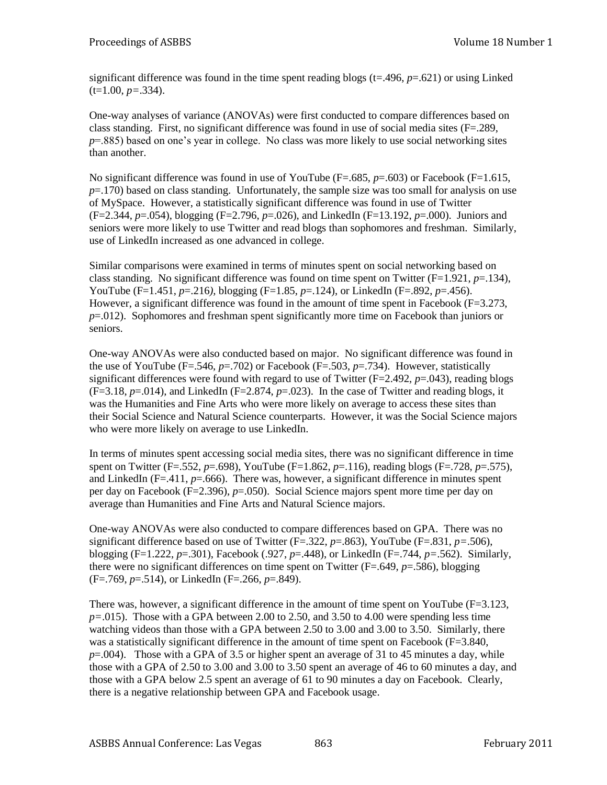significant difference was found in the time spent reading blogs  $(t=0.496, p=0.621)$  or using Linked  $(t=1.00, p=.334)$ .

One-way analyses of variance (ANOVAs) were first conducted to compare differences based on class standing. First, no significant difference was found in use of social media sites (F=.289, *p*=.885) based on one's year in college. No class was more likely to use social networking sites than another.

No significant difference was found in use of YouTube (F=.685, p=.603) or Facebook (F=1.615, *p*=.170) based on class standing. Unfortunately, the sample size was too small for analysis on use of MySpace. However, a statistically significant difference was found in use of Twitter (F=2.344, *p*=.054), blogging (F=2.796, *p*=.026), and LinkedIn (F=13.192, *p*=.000). Juniors and seniors were more likely to use Twitter and read blogs than sophomores and freshman. Similarly, use of LinkedIn increased as one advanced in college.

Similar comparisons were examined in terms of minutes spent on social networking based on class standing. No significant difference was found on time spent on Twitter  $(F=1.921, p=.134)$ , YouTube (F=1.451, *p*=.216*),* blogging (F=1.85, *p*=.124), or LinkedIn (F=.892, *p*=.456). However, a significant difference was found in the amount of time spent in Facebook  $(F=3.273,$ *p*=.012). Sophomores and freshman spent significantly more time on Facebook than juniors or seniors.

One-way ANOVAs were also conducted based on major. No significant difference was found in the use of YouTube ( $F = .546$ ,  $p = .702$ ) or Facebook ( $F = .503$ ,  $p = .734$ ). However, statistically significant differences were found with regard to use of Twitter  $(F=2.492, p=.043)$ , reading blogs  $(F=3.18, p=.014)$ , and LinkedIn  $(F=2.874, p=.023)$ . In the case of Twitter and reading blogs, it was the Humanities and Fine Arts who were more likely on average to access these sites than their Social Science and Natural Science counterparts. However, it was the Social Science majors who were more likely on average to use LinkedIn.

In terms of minutes spent accessing social media sites, there was no significant difference in time spent on Twitter (F=.552, *p*=.698), YouTube (F=1.862, *p*=.116), reading blogs (F=.728, *p*=.575), and LinkedIn ( $F = .411$ ,  $p = .666$ ). There was, however, a significant difference in minutes spent per day on Facebook (F=2.396), *p*=.050). Social Science majors spent more time per day on average than Humanities and Fine Arts and Natural Science majors.

One-way ANOVAs were also conducted to compare differences based on GPA. There was no significant difference based on use of Twitter ( $F=.322$ ,  $p=.863$ ), YouTube ( $F=.831$ ,  $p=.506$ ), blogging (F=1.222, *p*=.301), Facebook (.927, *p*=.448), or LinkedIn (F=.744, *p=*.562). Similarly, there were no significant differences on time spent on Twitter (F=.649, *p*=.586), blogging (F=.769, *p*=.514), or LinkedIn (F=.266, *p*=.849).

There was, however, a significant difference in the amount of time spent on YouTube (F=3.123, *p=*.015). Those with a GPA between 2.00 to 2.50, and 3.50 to 4.00 were spending less time watching videos than those with a GPA between 2.50 to 3.00 and 3.00 to 3.50. Similarly, there was a statistically significant difference in the amount of time spent on Facebook (F=3.840,  $p=0.004$ ). Those with a GPA of 3.5 or higher spent an average of 31 to 45 minutes a day, while those with a GPA of 2.50 to 3.00 and 3.00 to 3.50 spent an average of 46 to 60 minutes a day, and those with a GPA below 2.5 spent an average of 61 to 90 minutes a day on Facebook. Clearly, there is a negative relationship between GPA and Facebook usage.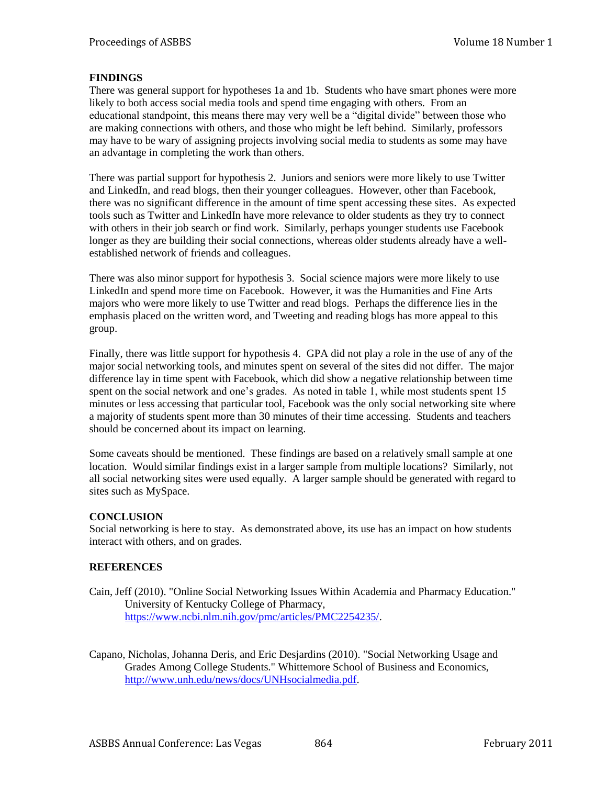## **FINDINGS**

There was general support for hypotheses 1a and 1b. Students who have smart phones were more likely to both access social media tools and spend time engaging with others. From an educational standpoint, this means there may very well be a "digital divide" between those who are making connections with others, and those who might be left behind. Similarly, professors may have to be wary of assigning projects involving social media to students as some may have an advantage in completing the work than others.

There was partial support for hypothesis 2. Juniors and seniors were more likely to use Twitter and LinkedIn, and read blogs, then their younger colleagues. However, other than Facebook, there was no significant difference in the amount of time spent accessing these sites. As expected tools such as Twitter and LinkedIn have more relevance to older students as they try to connect with others in their job search or find work. Similarly, perhaps younger students use Facebook longer as they are building their social connections, whereas older students already have a wellestablished network of friends and colleagues.

There was also minor support for hypothesis 3. Social science majors were more likely to use LinkedIn and spend more time on Facebook. However, it was the Humanities and Fine Arts majors who were more likely to use Twitter and read blogs. Perhaps the difference lies in the emphasis placed on the written word, and Tweeting and reading blogs has more appeal to this group.

Finally, there was little support for hypothesis 4. GPA did not play a role in the use of any of the major social networking tools, and minutes spent on several of the sites did not differ. The major difference lay in time spent with Facebook, which did show a negative relationship between time spent on the social network and one's grades. As noted in table 1, while most students spent 15 minutes or less accessing that particular tool, Facebook was the only social networking site where a majority of students spent more than 30 minutes of their time accessing. Students and teachers should be concerned about its impact on learning.

Some caveats should be mentioned. These findings are based on a relatively small sample at one location. Would similar findings exist in a larger sample from multiple locations? Similarly, not all social networking sites were used equally. A larger sample should be generated with regard to sites such as MySpace.

### **CONCLUSION**

Social networking is here to stay. As demonstrated above, its use has an impact on how students interact with others, and on grades.

### **REFERENCES**

Cain, Jeff (2010). "Online Social Networking Issues Within Academia and Pharmacy Education." University of Kentucky College of Pharmacy, [https://www.ncbi.nlm.nih.gov/pmc/articles/PMC2254235/.](https://www.ncbi.nlm.nih.gov/pmc/articles/PMC2254235/)

Capano, Nicholas, Johanna Deris, and Eric Desjardins (2010). "Social Networking Usage and Grades Among College Students." Whittemore School of Business and Economics, [http://www.unh.edu/news/docs/UNHsocialmedia.pdf.](http://www.unh.edu/news/docs/UNHsocialmedia.pdf)